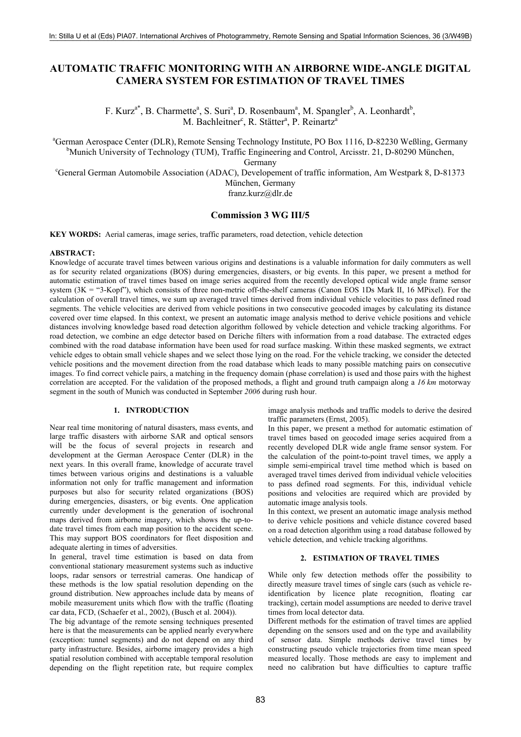# **AUTOMATIC TRAFFIC MONITORING WITH AN AIRBORNE WIDE-ANGLE DIGITAL CAMERA SYSTEM FOR ESTIMATION OF TRAVEL TIMES**

F. Kurz<sup>a\*</sup>, B. Charmette<sup>a</sup>, S. Suri<sup>a</sup>, D. Rosenbaum<sup>a</sup>, M. Spangler<sup>b</sup>, A. Leonhardt<sup>b</sup>, M. Bachleitner<sup>c</sup>, R. Stätter<sup>a</sup>, P. Reinartz<sup>a</sup>

<sup>a</sup>German Aerospace Center (DLR), Remote Sensing Technology Institute, PO Box 1116, D-82230 Weßling, Germany <sup>b</sup>Munich University of Technology (TUM), Traffic Engineering and Control, Arcisstr. 21, D-80290 München,

Germany<br>
<sup>C</sup>General German Automobile Association (ADAC), Developement of traffic information, Am Westpark 8, D-81373<sup>3</sup> München, Germany

franz.kurz@dlr.de

# **Commission 3 WG III/5**

**KEY WORDS:** Aerial cameras, image series, traffic parameters, road detection, vehicle detection

# **ABSTRACT:**

Knowledge of accurate travel times between various origins and destinations is a valuable information for daily commuters as well as for security related organizations (BOS) during emergencies, disasters, or big events. In this paper, we present a method for automatic estimation of travel times based on image series acquired from the recently developed optical wide angle frame sensor system (3K = "3-Kopf"), which consists of three non-metric off-the-shelf cameras (Canon EOS 1Ds Mark II, 16 MPixel). For the calculation of overall travel times, we sum up averaged travel times derived from individual vehicle velocities to pass defined road segments. The vehicle velocities are derived from vehicle positions in two consecutive geocoded images by calculating its distance covered over time elapsed. In this context, we present an automatic image analysis method to derive vehicle positions and vehicle distances involving knowledge based road detection algorithm followed by vehicle detection and vehicle tracking algorithms. For road detection, we combine an edge detector based on Deriche filters with information from a road database. The extracted edges combined with the road database information have been used for road surface masking. Within these masked segments, we extract vehicle edges to obtain small vehicle shapes and we select those lying on the road. For the vehicle tracking, we consider the detected vehicle positions and the movement direction from the road database which leads to many possible matching pairs on consecutive images. To find correct vehicle pairs, a matching in the frequency domain (phase correlation) is used and those pairs with the highest correlation are accepted. For the validation of the proposed methods, a flight and ground truth campaign along a *16 km* motorway segment in the south of Munich was conducted in September *2006* during rush hour.

## **1. INTRODUCTION**

Near real time monitoring of natural disasters, mass events, and large traffic disasters with airborne SAR and optical sensors will be the focus of several projects in research and development at the German Aerospace Center (DLR) in the next years. In this overall frame, knowledge of accurate travel times between various origins and destinations is a valuable information not only for traffic management and information purposes but also for security related organizations (BOS) during emergencies, disasters, or big events. One application currently under development is the generation of isochronal maps derived from airborne imagery, which shows the up-todate travel times from each map position to the accident scene. This may support BOS coordinators for fleet disposition and adequate alerting in times of adversities.

In general, travel time estimation is based on data from conventional stationary measurement systems such as inductive loops, radar sensors or terrestrial cameras. One handicap of these methods is the low spatial resolution depending on the ground distribution. New approaches include data by means of mobile measurement units which flow with the traffic (floating car data, FCD, (Schaefer et al., 2002), (Busch et al. 2004)).

The big advantage of the remote sensing techniques presented here is that the measurements can be applied nearly everywhere (exception: tunnel segments) and do not depend on any third party infrastructure. Besides, airborne imagery provides a high spatial resolution combined with acceptable temporal resolution depending on the flight repetition rate, but require complex

image analysis methods and traffic models to derive the desired traffic parameters (Ernst, 2005).

In this paper, we present a method for automatic estimation of travel times based on geocoded image series acquired from a recently developed DLR wide angle frame sensor system. For the calculation of the point-to-point travel times, we apply a simple semi-empirical travel time method which is based on averaged travel times derived from individual vehicle velocities to pass defined road segments. For this, individual vehicle positions and velocities are required which are provided by automatic image analysis tools.

In this context, we present an automatic image analysis method to derive vehicle positions and vehicle distance covered based on a road detection algorithm using a road database followed by vehicle detection, and vehicle tracking algorithms.

## **2. ESTIMATION OF TRAVEL TIMES**

While only few detection methods offer the possibility to directly measure travel times of single cars (such as vehicle reidentification by licence plate recognition, floating car tracking), certain model assumptions are needed to derive travel times from local detector data.

Different methods for the estimation of travel times are applied depending on the sensors used and on the type and availability of sensor data. Simple methods derive travel times by constructing pseudo vehicle trajectories from time mean speed measured locally. Those methods are easy to implement and need no calibration but have difficulties to capture traffic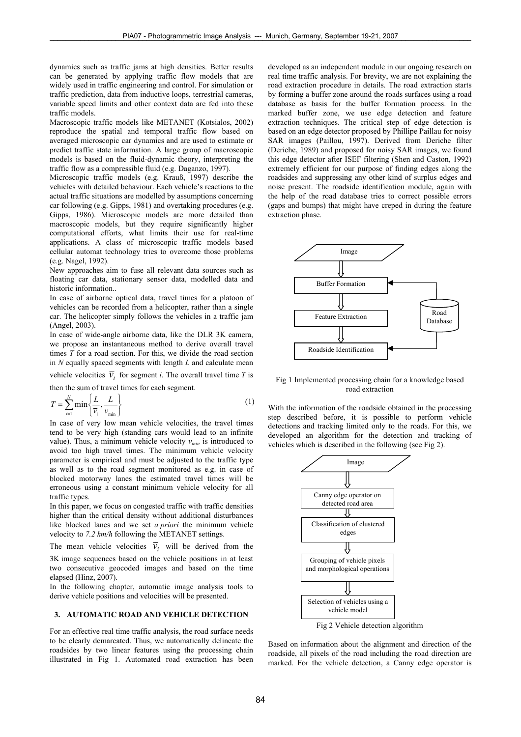dynamics such as traffic jams at high densities. Better results can be generated by applying traffic flow models that are widely used in traffic engineering and control. For simulation or traffic prediction, data from inductive loops, terrestrial cameras, variable speed limits and other context data are fed into these traffic models.

Macroscopic traffic models like METANET (Kotsialos, 2002) reproduce the spatial and temporal traffic flow based on averaged microscopic car dynamics and are used to estimate or predict traffic state information. A large group of macroscopic models is based on the fluid-dynamic theory, interpreting the traffic flow as a compressible fluid (e.g. Daganzo, 1997).

Microscopic traffic models (e.g. Krauß, 1997) describe the vehicles with detailed behaviour. Each vehicle's reactions to the actual traffic situations are modelled by assumptions concerning car following (e.g. Gipps, 1981) and overtaking procedures (e.g. Gipps, 1986). Microscopic models are more detailed than macroscopic models, but they require significantly higher computational efforts, what limits their use for real-time applications. A class of microscopic traffic models based cellular automat technology tries to overcome those problems (e.g. Nagel, 1992).

New approaches aim to fuse all relevant data sources such as floating car data, stationary sensor data, modelled data and historic information..

In case of airborne optical data, travel times for a platoon of vehicles can be recorded from a helicopter, rather than a single car. The helicopter simply follows the vehicles in a traffic jam (Angel, 2003).

In case of wide-angle airborne data, like the DLR 3K camera, we propose an instantaneous method to derive overall travel times *T* for a road section. For this, we divide the road section in *N* equally spaced segments with length *L* and calculate mean

vehicle velocities  $\overline{v}_i$  for segment *i*. The overall travel time *T* is then the sum of travel times for each segment.

$$
T = \sum_{i=1}^{N} \min\left\{\frac{L}{\overline{v}_i}, \frac{L}{v_{\min}}\right\}
$$
 (1)

In case of very low mean vehicle velocities, the travel times tend to be very high (standing cars would lead to an infinite value). Thus, a minimum vehicle velocity  $v_{min}$  is introduced to avoid too high travel times. The minimum vehicle velocity parameter is empirical and must be adjusted to the traffic type as well as to the road segment monitored as e.g. in case of blocked motorway lanes the estimated travel times will be erroneous using a constant minimum vehicle velocity for all traffic types.

In this paper, we focus on congested traffic with traffic densities higher than the critical density without additional disturbances like blocked lanes and we set *a priori* the minimum vehicle velocity to *7.2 km/h* following the METANET settings.

The mean vehicle velocities  $\overline{v}_i$  will be derived from the

3K image sequences based on the vehicle positions in at least two consecutive geocoded images and based on the time elapsed (Hinz, 2007).

In the following chapter, automatic image analysis tools to derive vehicle positions and velocities will be presented.

# **3. AUTOMATIC ROAD AND VEHICLE DETECTION**

For an effective real time traffic analysis, the road surface needs to be clearly demarcated. Thus, we automatically delineate the roadsides by two linear features using the processing chain illustrated in Fig 1. Automated road extraction has been developed as an independent module in our ongoing research on real time traffic analysis. For brevity, we are not explaining the road extraction procedure in details. The road extraction starts by forming a buffer zone around the roads surfaces using a road database as basis for the buffer formation process. In the marked buffer zone, we use edge detection and feature extraction techniques. The critical step of edge detection is based on an edge detector proposed by Phillipe Paillau for noisy SAR images (Paillou, 1997). Derived from Deriche filter (Deriche, 1989) and proposed for noisy SAR images, we found this edge detector after ISEF filtering (Shen and Caston, 1992) extremely efficient for our purpose of finding edges along the roadsides and suppressing any other kind of surplus edges and noise present. The roadside identification module, again with the help of the road database tries to correct possible errors (gaps and bumps) that might have creped in during the feature extraction phase.



Fig 1 Implemented processing chain for a knowledge based road extraction

With the information of the roadside obtained in the processing step described before, it is possible to perform vehicle detections and tracking limited only to the roads. For this, we developed an algorithm for the detection and tracking of vehicles which is described in the following (see Fig 2).



Based on information about the alignment and direction of the roadside, all pixels of the road including the road direction are marked. For the vehicle detection, a Canny edge operator is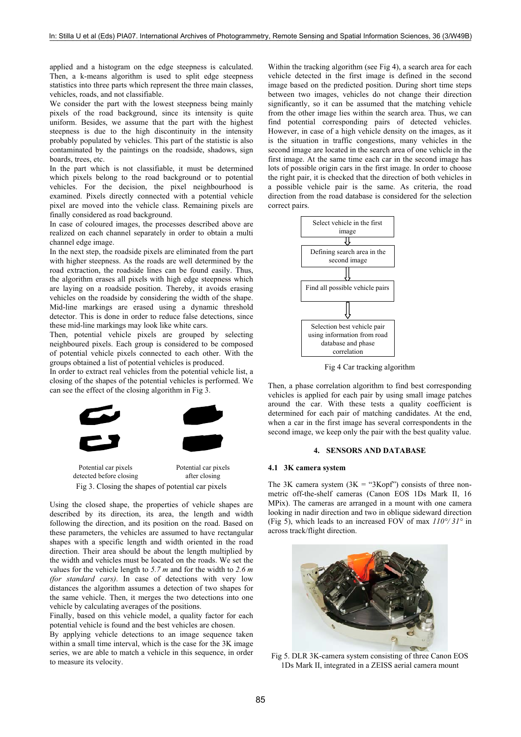applied and a histogram on the edge steepness is calculated. Then, a k-means algorithm is used to split edge steepness statistics into three parts which represent the three main classes, vehicles, roads, and not classifiable.

We consider the part with the lowest steepness being mainly pixels of the road background, since its intensity is quite uniform. Besides, we assume that the part with the highest steepness is due to the high discontinuity in the intensity probably populated by vehicles. This part of the statistic is also contaminated by the paintings on the roadside, shadows, sign boards, trees, etc.

In the part which is not classifiable, it must be determined which pixels belong to the road background or to potential vehicles. For the decision, the pixel neighbourhood is examined. Pixels directly connected with a potential vehicle pixel are moved into the vehicle class. Remaining pixels are finally considered as road background.

In case of coloured images, the processes described above are realized on each channel separately in order to obtain a multi channel edge image.

In the next step, the roadside pixels are eliminated from the part with higher steepness. As the roads are well determined by the road extraction, the roadside lines can be found easily. Thus, the algorithm erases all pixels with high edge steepness which are laying on a roadside position. Thereby, it avoids erasing vehicles on the roadside by considering the width of the shape. Mid-line markings are erased using a dynamic threshold detector. This is done in order to reduce false detections, since these mid-line markings may look like white cars.

Then, potential vehicle pixels are grouped by selecting neighboured pixels. Each group is considered to be composed of potential vehicle pixels connected to each other. With the groups obtained a list of potential vehicles is produced.

In order to extract real vehicles from the potential vehicle list, a closing of the shapes of the potential vehicles is performed. We can see the effect of the closing algorithm in Fig 3.



Fig 3. Closing the shapes of potential car pixels detected before closing after closing

Using the closed shape, the properties of vehicle shapes are described by its direction, its area, the length and width following the direction, and its position on the road. Based on these parameters, the vehicles are assumed to have rectangular shapes with a specific length and width oriented in the road direction. Their area should be about the length multiplied by the width and vehicles must be located on the roads. We set the values for the vehicle length to *5.7 m* and for the width to *2.6 m (for standard cars)*. In case of detections with very low distances the algorithm assumes a detection of two shapes for the same vehicle. Then, it merges the two detections into one vehicle by calculating averages of the positions.

Finally, based on this vehicle model, a quality factor for each potential vehicle is found and the best vehicles are chosen.

By applying vehicle detections to an image sequence taken within a small time interval, which is the case for the 3K image series, we are able to match a vehicle in this sequence, in order to measure its velocity.

Within the tracking algorithm (see Fig 4), a search area for each vehicle detected in the first image is defined in the second image based on the predicted position. During short time steps between two images, vehicles do not change their direction significantly, so it can be assumed that the matching vehicle from the other image lies within the search area. Thus, we can find potential corresponding pairs of detected vehicles. However, in case of a high vehicle density on the images, as it is the situation in traffic congestions, many vehicles in the second image are located in the search area of one vehicle in the first image. At the same time each car in the second image has lots of possible origin cars in the first image. In order to choose the right pair, it is checked that the direction of both vehicles in a possible vehicle pair is the same. As criteria, the road direction from the road database is considered for the selection correct pairs.



Fig 4 Car tracking algorithm

Then, a phase correlation algorithm to find best corresponding vehicles is applied for each pair by using small image patches around the car. With these tests a quality coefficient is determined for each pair of matching candidates. At the end, when a car in the first image has several correspondents in the second image, we keep only the pair with the best quality value.

#### **4. SENSORS AND DATABASE**

#### **4.1 3K camera system**

The 3K camera system  $(3K = "3Kopf")$  consists of three nonmetric off-the-shelf cameras (Canon EOS 1Ds Mark II, 16 MPix). The cameras are arranged in a mount with one camera looking in nadir direction and two in oblique sideward direction (Fig 5), which leads to an increased FOV of max *110°/ 31°* in across track/flight direction.



Fig 5. DLR 3K-camera system consisting of three Canon EOS 1Ds Mark II, integrated in a ZEISS aerial camera mount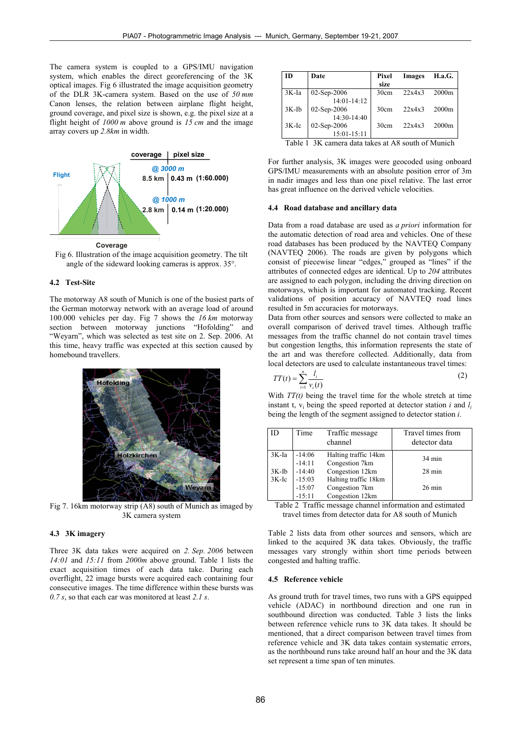The camera system is coupled to a GPS/IMU navigation system, which enables the direct georeferencing of the 3K optical images. Fig 6 illustrated the image acquisition geometry of the DLR 3K-camera system. Based on the use of *50 mm* Canon lenses, the relation between airplane flight height, ground coverage, and pixel size is shown, e.g. the pixel size at a flight height of *1000 m* above ground is *15 cm* and the image array covers up *2.8km* in width.



Fig 6. Illustration of the image acquisition geometry. The tilt angle of the sideward looking cameras is approx. 35°.

## **4.2 Test-Site**

The motorway A8 south of Munich is one of the busiest parts of the German motorway network with an average load of around 100.000 vehicles per day. Fig 7 shows the *16 km* motorway section between motorway junctions "Hofolding" and "Weyarn", which was selected as test site on 2. Sep. 2006. At this time, heavy traffic was expected at this section caused by homebound travellers.



Fig 7. 16km motorway strip (A8) south of Munich as imaged by 3K camera system

## **4.3 3K imagery**

Three 3K data takes were acquired on *2. Sep. 2006* between *14:01* and *15:11* from *2000m* above ground. Table 1 lists the exact acquisition times of each data take. During each overflight, 22 image bursts were acquired each containing four consecutive images. The time difference within these bursts was *0.7 s*, so that each car was monitored at least *2.1 s*.

| <b>ID</b> | Date                          | Pixel<br>size | <b>Images</b> | H.a.G.            |
|-----------|-------------------------------|---------------|---------------|-------------------|
| 3K-Ia     | $02-Sep-2006$<br>14:01-14:12  | 30cm          | 22x4x3        | 2000 <sub>m</sub> |
| $3K-1b$   | 02-Sep-2006<br>14:30-14:40    | 30cm          | 22x4x3        | 2000m             |
| 3K-Ic     | $02$ -Sep-2006<br>15:01-15:11 | 30cm          | 22x4x3        | 2000m             |

Table 1 3K camera data takes at A8 south of Munich

For further analysis, 3K images were geocoded using onboard GPS/IMU measurements with an absolute position error of 3m in nadir images and less than one pixel relative. The last error has great influence on the derived vehicle velocities.

#### **4.4 Road database and ancillary data**

Data from a road database are used as *a priori* information for the automatic detection of road area and vehicles. One of these road databases has been produced by the NAVTEQ Company (NAVTEQ 2006). The roads are given by polygons which consist of piecewise linear "edges," grouped as "lines" if the attributes of connected edges are identical. Up to *204* attributes are assigned to each polygon, including the driving direction on motorways, which is important for automated tracking. Recent validations of position accuracy of NAVTEQ road lines resulted in 5m accuracies for motorways.

Data from other sources and sensors were collected to make an overall comparison of derived travel times. Although traffic messages from the traffic channel do not contain travel times but congestion lengths, this information represents the state of the art and was therefore collected. Additionally, data from local detectors are used to calculate instantaneous travel times:

$$
TT(t) = \sum_{i=1}^{n} \frac{l_i}{v_i(t)}
$$
 (2)

With *TT(t)* being the travel time for the whole stretch at time instant t,  $v_i$  being the speed reported at detector station *i* and  $l_i$ being the length of the segment assigned to detector station *i*.

| ID    | Time                 | Traffic message<br>channel             | Travel times from<br>detector data |
|-------|----------------------|----------------------------------------|------------------------------------|
| 3K-Ia | $-14:06$<br>$-14:11$ | Halting traffic 14km<br>Congestion 7km | 34 min                             |
| 3K-Ib | $-14:40$             | Congestion 12km                        | $28 \text{ min}$                   |
| 3K-Ic | $-15:03$             | Halting traffic 18km                   |                                    |
|       | $-15:07$             | Congestion 7km                         | $26 \text{ min}$                   |
|       | $-15:11$             | Congestion 12km<br>$\sim$              | $\sim$                             |

Table 2 Traffic message channel information and estimated travel times from detector data for A8 south of Munich

Table 2 lists data from other sources and sensors, which are linked to the acquired 3K data takes. Obviously, the traffic messages vary strongly within short time periods between congested and halting traffic.

#### **4.5 Reference vehicle**

As ground truth for travel times, two runs with a GPS equipped vehicle (ADAC) in northbound direction and one run in southbound direction was conducted. Table 3 lists the links between reference vehicle runs to 3K data takes. It should be mentioned, that a direct comparison between travel times from reference vehicle and 3K data takes contain systematic errors, as the northbound runs take around half an hour and the 3K data set represent a time span of ten minutes.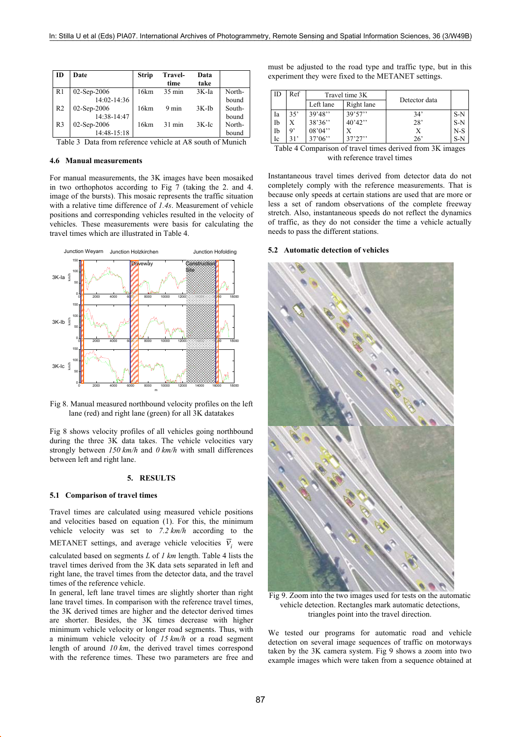| <b>ID</b>      | Date           | <b>Strip</b> | <b>Travel-</b><br>time | Data<br>take |        |
|----------------|----------------|--------------|------------------------|--------------|--------|
| R1             | $02$ -Sep-2006 | 16km         | $35 \text{ min}$       | 3K-Ia        | North- |
|                | 14:02-14:36    |              |                        |              | bound  |
| R <sub>2</sub> | 02-Sep-2006    | 16km         | 9 min                  | $3K-Ib$      | South- |
|                | 14:38-14:47    |              |                        |              | bound  |
| R <sub>3</sub> | 02-Sep-2006    | 16km         | $31 \text{ min}$       | $3K$ -Ic     | North- |
|                | 14:48-15:18    |              |                        |              | bound  |

Table 3 Data from reference vehicle at A8 south of Munich

#### **4.6 Manual measurements**

For manual measurements, the 3K images have been mosaiked in two orthophotos according to Fig  $\overline{7}$  (taking the 2. and 4. image of the bursts). This mosaic represents the traffic situation with a relative time difference of *1.4s*. Measurement of vehicle positions and corresponding vehicles resulted in the velocity of vehicles. These measurements were basis for calculating the travel times which are illustrated in Table 4.



Fig 8. Manual measured northbound velocity profiles on the left lane (red) and right lane (green) for all 3K datatakes

Fig 8 shows velocity profiles of all vehicles going northbound during the three 3K data takes. The vehicle velocities vary strongly between *150 km/h* and *0 km/h* with small differences between left and right lane.

# **5. RESULTS**

#### **5.1 Comparison of travel times**

Travel times are calculated using measured vehicle positions and velocities based on equation (1). For this, the minimum vehicle velocity was set to *7.2 km/h* according to the METANET settings, and average vehicle velocities  $\overline{v}_i$  were calculated based on segments *L* of *1 km* length. Table 4 lists the travel times derived from the 3K data sets separated in left and right lane, the travel times from the detector data, and the travel times of the reference vehicle.

In general, left lane travel times are slightly shorter than right lane travel times. In comparison with the reference travel times, the 3K derived times are higher and the detector derived times are shorter. Besides, the 3K times decrease with higher minimum vehicle velocity or longer road segments. Thus, with a minimum vehicle velocity of *15 km/h* or a road segment length of around *10 km*, the derived travel times correspond with the reference times. These two parameters are free and must be adjusted to the road type and traffic type, but in this experiment they were fixed to the METANET settings.

| ID | Ref | Travel time 3K |            | Detector data |       |
|----|-----|----------------|------------|---------------|-------|
|    |     | Left lane      | Right lane |               |       |
| Ia | 35' | 39'48"         | 39'57''    | 34'           | S-N   |
| Ib | X   | 38'36"         | 40'42''    | 28'           | S-N   |
| Ib | g,  | 08'04"         |            |               | $N-S$ |
| Ic | 31' | 37'06''        | 37'27''    | $26^{\circ}$  | S-N   |

Table 4 Comparison of travel times derived from 3K images with reference travel times

Instantaneous travel times derived from detector data do not completely comply with the reference measurements. That is because only speeds at certain stations are used that are more or less a set of random observations of the complete freeway stretch. Also, instantaneous speeds do not reflect the dynamics of traffic, as they do not consider the time a vehicle actually needs to pass the different stations.

#### **5.2 Automatic detection of vehicles**



Fig 9. Zoom into the two images used for tests on the automatic vehicle detection. Rectangles mark automatic detections, triangles point into the travel direction.

We tested our programs for automatic road and vehicle detection on several image sequences of traffic on motorways taken by the 3K camera system. Fig 9 shows a zoom into two example images which were taken from a sequence obtained at